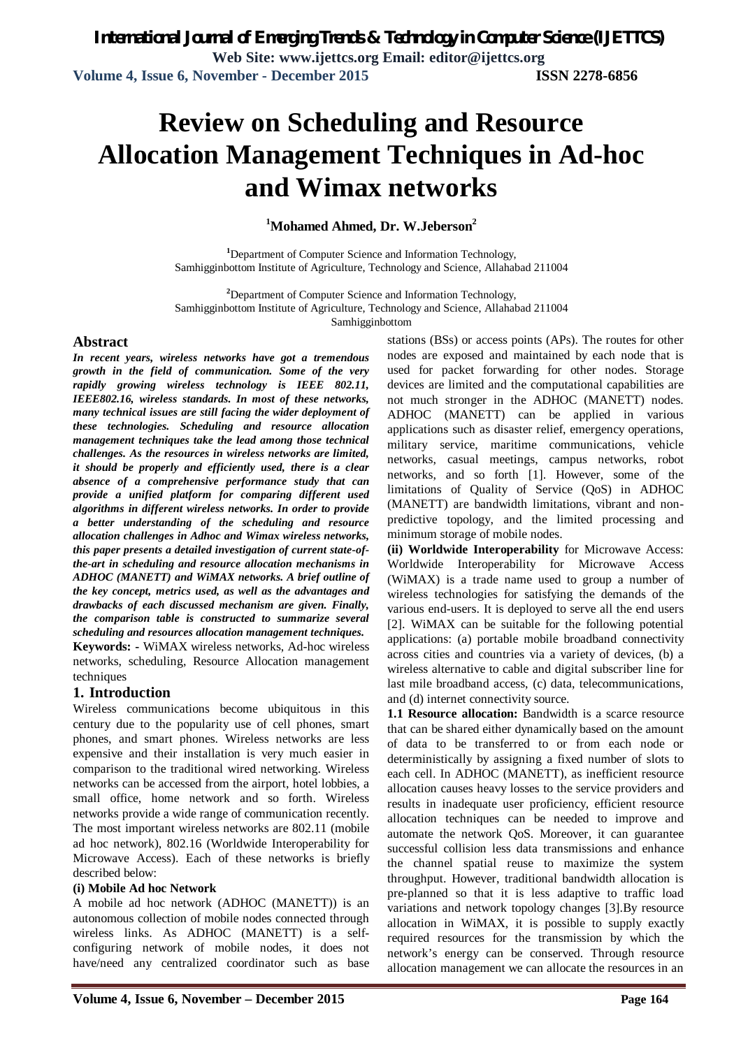# **Review on Scheduling and Resource Allocation Management Techniques in Ad-hoc and Wimax networks**

### **<sup>1</sup>Mohamed Ahmed, Dr. W.Jeberson<sup>2</sup>**

**<sup>1</sup>**Department of Computer Science and Information Technology, Samhigginbottom Institute of Agriculture, Technology and Science, Allahabad 211004

**<sup>2</sup>**Department of Computer Science and Information Technology, Samhigginbottom Institute of Agriculture, Technology and Science, Allahabad 211004

Samhigginbottom

### **Abstract**

*In recent years, wireless networks have got a tremendous growth in the field of communication. Some of the very rapidly growing wireless technology is IEEE 802.11, IEEE802.16, wireless standards. In most of these networks, many technical issues are still facing the wider deployment of these technologies. Scheduling and resource allocation management techniques take the lead among those technical challenges. As the resources in wireless networks are limited, it should be properly and efficiently used, there is a clear absence of a comprehensive performance study that can provide a unified platform for comparing different used algorithms in different wireless networks. In order to provide a better understanding of the scheduling and resource allocation challenges in Adhoc and Wimax wireless networks, this paper presents a detailed investigation of current state-ofthe-art in scheduling and resource allocation mechanisms in ADHOC (MANETT) and WiMAX networks. A brief outline of the key concept, metrics used, as well as the advantages and drawbacks of each discussed mechanism are given. Finally, the comparison table is constructed to summarize several scheduling and resources allocation management techniques.* **Keywords: -** WiMAX wireless networks, Ad-hoc wireless

networks, scheduling, Resource Allocation management techniques

### **1. Introduction**

Wireless communications become ubiquitous in this century due to the popularity use of cell phones, smart phones, and smart phones. Wireless networks are less expensive and their installation is very much easier in comparison to the traditional wired networking. Wireless networks can be accessed from the airport, hotel lobbies, a small office, home network and so forth. Wireless networks provide a wide range of communication recently. The most important wireless networks are 802.11 (mobile ad hoc network), 802.16 (Worldwide Interoperability for Microwave Access). Each of these networks is briefly described below:

#### **(i) Mobile Ad hoc Network**

A mobile ad hoc network (ADHOC (MANETT)) is an autonomous collection of mobile nodes connected through wireless links. As ADHOC (MANETT) is a selfconfiguring network of mobile nodes, it does not have/need any centralized coordinator such as base

stations (BSs) or access points (APs). The routes for other nodes are exposed and maintained by each node that is used for packet forwarding for other nodes. Storage devices are limited and the computational capabilities are not much stronger in the ADHOC (MANETT) nodes. ADHOC (MANETT) can be applied in various applications such as disaster relief, emergency operations, military service, maritime communications, vehicle networks, casual meetings, campus networks, robot networks, and so forth [1]. However, some of the limitations of Quality of Service (QoS) in ADHOC (MANETT) are bandwidth limitations, vibrant and nonpredictive topology, and the limited processing and minimum storage of mobile nodes.

**(ii) Worldwide Interoperability** for Microwave Access: Worldwide Interoperability for Microwave Access (WiMAX) is a trade name used to group a number of wireless technologies for satisfying the demands of the various end-users. It is deployed to serve all the end users [2]. WiMAX can be suitable for the following potential applications: (a) portable mobile broadband connectivity across cities and countries via a variety of devices, (b) a wireless alternative to cable and digital subscriber line for last mile broadband access, (c) data, telecommunications, and (d) internet connectivity source.

**1.1 Resource allocation:** Bandwidth is a scarce resource that can be shared either dynamically based on the amount of data to be transferred to or from each node or deterministically by assigning a fixed number of slots to each cell. In ADHOC (MANETT), as inefficient resource allocation causes heavy losses to the service providers and results in inadequate user proficiency, efficient resource allocation techniques can be needed to improve and automate the network QoS. Moreover, it can guarantee successful collision less data transmissions and enhance the channel spatial reuse to maximize the system throughput. However, traditional bandwidth allocation is pre-planned so that it is less adaptive to traffic load variations and network topology changes [3].By resource allocation in WiMAX, it is possible to supply exactly required resources for the transmission by which the network's energy can be conserved. Through resource allocation management we can allocate the resources in an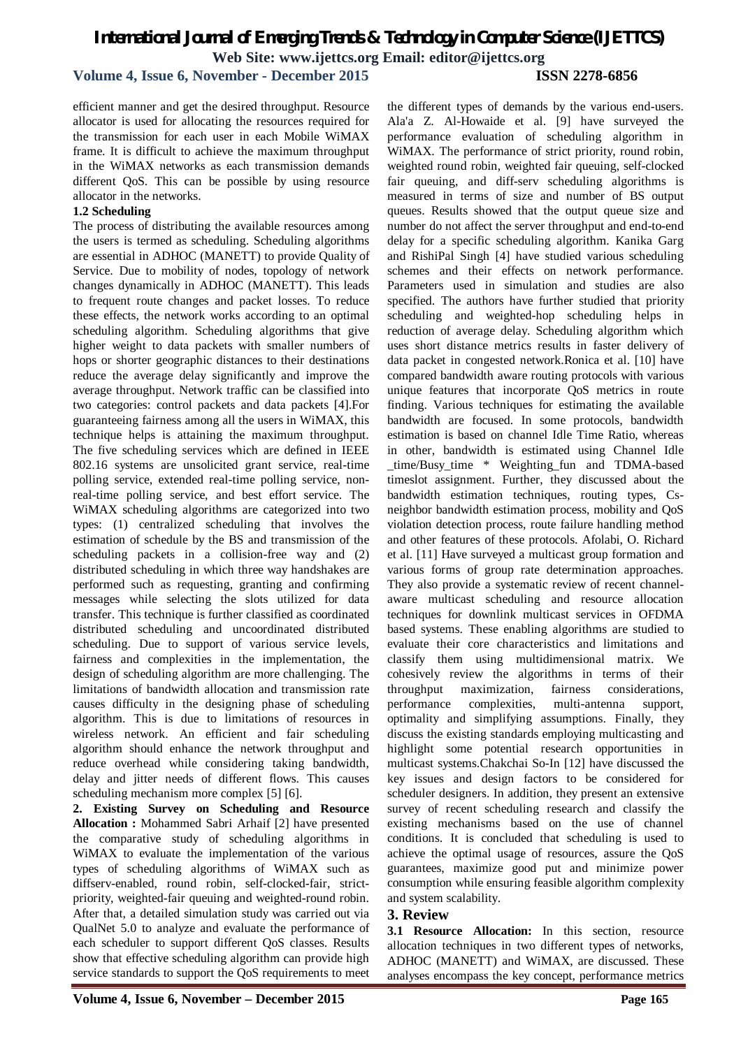### **Volume 4, Issue 6, November - December 2015 ISSN 2278-6856**

efficient manner and get the desired throughput. Resource allocator is used for allocating the resources required for the transmission for each user in each Mobile WiMAX frame. It is difficult to achieve the maximum throughput in the WiMAX networks as each transmission demands different QoS. This can be possible by using resource allocator in the networks.

### **1.2 Scheduling**

The process of distributing the available resources among the users is termed as scheduling. Scheduling algorithms are essential in ADHOC (MANETT) to provide Quality of Service. Due to mobility of nodes, topology of network changes dynamically in ADHOC (MANETT). This leads to frequent route changes and packet losses. To reduce these effects, the network works according to an optimal scheduling algorithm. Scheduling algorithms that give higher weight to data packets with smaller numbers of hops or shorter geographic distances to their destinations reduce the average delay significantly and improve the average throughput. Network traffic can be classified into two categories: control packets and data packets [4].For guaranteeing fairness among all the users in WiMAX, this technique helps is attaining the maximum throughput. The five scheduling services which are defined in IEEE 802.16 systems are unsolicited grant service, real-time polling service, extended real-time polling service, nonreal-time polling service, and best effort service. The WiMAX scheduling algorithms are categorized into two types: (1) centralized scheduling that involves the estimation of schedule by the BS and transmission of the scheduling packets in a collision-free way and (2) distributed scheduling in which three way handshakes are performed such as requesting, granting and confirming messages while selecting the slots utilized for data transfer. This technique is further classified as coordinated distributed scheduling and uncoordinated distributed scheduling. Due to support of various service levels, fairness and complexities in the implementation, the design of scheduling algorithm are more challenging. The limitations of bandwidth allocation and transmission rate causes difficulty in the designing phase of scheduling algorithm. This is due to limitations of resources in wireless network. An efficient and fair scheduling algorithm should enhance the network throughput and reduce overhead while considering taking bandwidth, delay and jitter needs of different flows. This causes scheduling mechanism more complex [5] [6].

**2. Existing Survey on Scheduling and Resource Allocation :** Mohammed Sabri Arhaif [2] have presented the comparative study of scheduling algorithms in WiMAX to evaluate the implementation of the various types of scheduling algorithms of WiMAX such as diffserv-enabled, round robin, self-clocked-fair, strictpriority, weighted-fair queuing and weighted-round robin. After that, a detailed simulation study was carried out via QualNet 5.0 to analyze and evaluate the performance of each scheduler to support different QoS classes. Results show that effective scheduling algorithm can provide high service standards to support the QoS requirements to meet

the different types of demands by the various end-users. Ala'a Z. Al-Howaide et al. [9] have surveyed the performance evaluation of scheduling algorithm in WiMAX. The performance of strict priority, round robin, weighted round robin, weighted fair queuing, self-clocked fair queuing, and diff-serv scheduling algorithms is measured in terms of size and number of BS output queues. Results showed that the output queue size and number do not affect the server throughput and end-to-end delay for a specific scheduling algorithm. Kanika Garg and RishiPal Singh [4] have studied various scheduling schemes and their effects on network performance. Parameters used in simulation and studies are also specified. The authors have further studied that priority scheduling and weighted-hop scheduling helps in reduction of average delay. Scheduling algorithm which uses short distance metrics results in faster delivery of data packet in congested network.Ronica et al. [10] have compared bandwidth aware routing protocols with various unique features that incorporate QoS metrics in route finding. Various techniques for estimating the available bandwidth are focused. In some protocols, bandwidth estimation is based on channel Idle Time Ratio, whereas in other, bandwidth is estimated using Channel Idle \_time/Busy\_time \* Weighting\_fun and TDMA-based timeslot assignment. Further, they discussed about the bandwidth estimation techniques, routing types, Csneighbor bandwidth estimation process, mobility and QoS violation detection process, route failure handling method and other features of these protocols. Afolabi, O. Richard et al. [11] Have surveyed a multicast group formation and various forms of group rate determination approaches. They also provide a systematic review of recent channelaware multicast scheduling and resource allocation techniques for downlink multicast services in OFDMA based systems. These enabling algorithms are studied to evaluate their core characteristics and limitations and classify them using multidimensional matrix. We cohesively review the algorithms in terms of their throughput maximization, fairness considerations, performance complexities, multi-antenna support, optimality and simplifying assumptions. Finally, they discuss the existing standards employing multicasting and highlight some potential research opportunities in multicast systems.Chakchai So-In [12] have discussed the key issues and design factors to be considered for scheduler designers. In addition, they present an extensive survey of recent scheduling research and classify the existing mechanisms based on the use of channel conditions. It is concluded that scheduling is used to achieve the optimal usage of resources, assure the QoS guarantees, maximize good put and minimize power consumption while ensuring feasible algorithm complexity and system scalability.

### **3. Review**

**3.1 Resource Allocation:** In this section, resource allocation techniques in two different types of networks, ADHOC (MANETT) and WiMAX, are discussed. These analyses encompass the key concept, performance metrics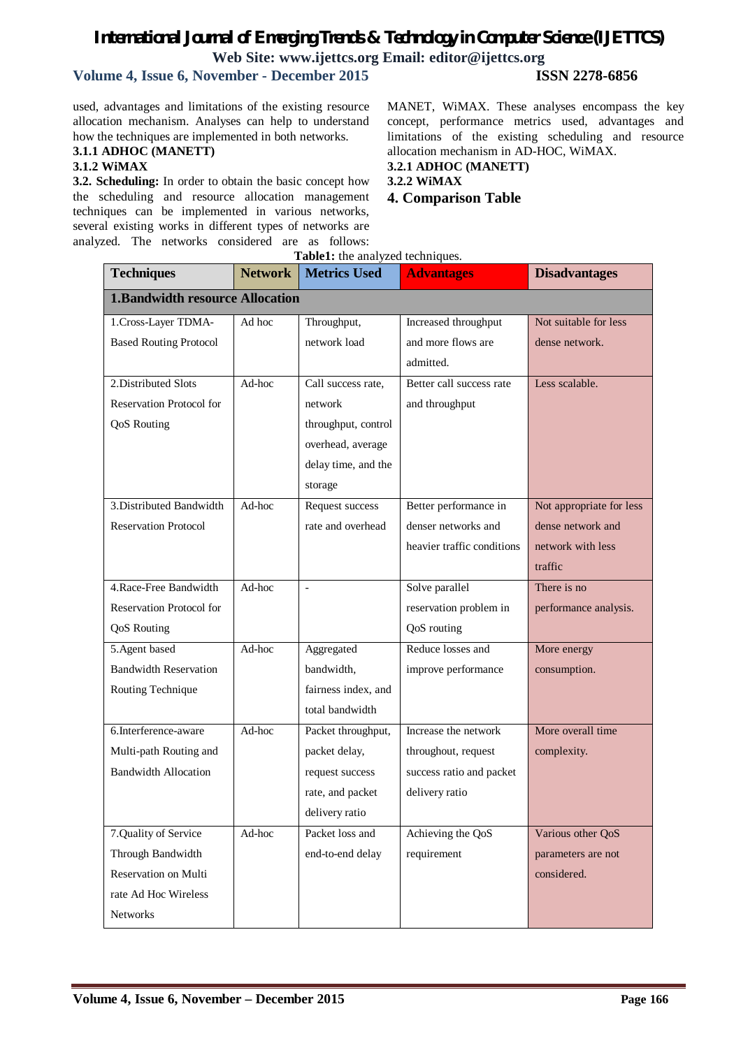## **Volume 4, Issue 6, November - December 2015 ISSN 2278-6856**

used, advantages and limitations of the existing resource allocation mechanism. Analyses can help to understand how the techniques are implemented in both networks.

**3.1.1 ADHOC (MANETT)**

#### **3.1.2 WiMAX**

**3.2. Scheduling:** In order to obtain the basic concept how the scheduling and resource allocation management techniques can be implemented in various networks, several existing works in different types of networks are analyzed. The networks considered are as follows: MANET, WiMAX. These analyses encompass the key concept, performance metrics used, advantages and limitations of the existing scheduling and resource allocation mechanism in AD-HOC, WiMAX. **3.2.1 ADHOC (MANETT)**

**3.2.2 WiMAX**

**4. Comparison Table**

| <b>Techniques</b>                      | <b>Network</b> | Table1: the analyzed techniques.<br><b>Metrics Used</b> | <b>Advantages</b>          | <b>Disadvantages</b>     |
|----------------------------------------|----------------|---------------------------------------------------------|----------------------------|--------------------------|
| <b>1.Bandwidth resource Allocation</b> |                |                                                         |                            |                          |
| 1.Cross-Layer TDMA-                    | Ad hoc         | Throughput,                                             | Increased throughput       | Not suitable for less    |
| <b>Based Routing Protocol</b>          |                | network load                                            | and more flows are         | dense network.           |
|                                        |                |                                                         | admitted.                  |                          |
| 2. Distributed Slots                   | Ad-hoc         | Call success rate,                                      | Better call success rate   | Less scalable.           |
| Reservation Protocol for               |                | network                                                 | and throughput             |                          |
| <b>QoS</b> Routing                     |                | throughput, control                                     |                            |                          |
|                                        |                | overhead, average                                       |                            |                          |
|                                        |                | delay time, and the                                     |                            |                          |
|                                        |                | storage                                                 |                            |                          |
| 3. Distributed Bandwidth               | Ad-hoc         | Request success                                         | Better performance in      | Not appropriate for less |
| <b>Reservation Protocol</b>            |                | rate and overhead                                       | denser networks and        | dense network and        |
|                                        |                |                                                         | heavier traffic conditions | network with less        |
|                                        |                |                                                         |                            | traffic                  |
| 4. Race-Free Bandwidth                 | Ad-hoc         | $\overline{\phantom{a}}$                                | Solve parallel             | There is no              |
| Reservation Protocol for               |                |                                                         | reservation problem in     | performance analysis.    |
| <b>QoS</b> Routing                     |                |                                                         | QoS routing                |                          |
| 5. Agent based                         | Ad-hoc         | Aggregated                                              | Reduce losses and          | More energy              |
| <b>Bandwidth Reservation</b>           |                | bandwidth,                                              | improve performance        | consumption.             |
| Routing Technique                      |                | fairness index, and                                     |                            |                          |
|                                        |                | total bandwidth                                         |                            |                          |
| 6.Interference-aware                   | Ad-hoc         | Packet throughput,                                      | Increase the network       | More overall time        |
| Multi-path Routing and                 |                | packet delay,                                           | throughout, request        | complexity.              |
| <b>Bandwidth Allocation</b>            |                | request success                                         | success ratio and packet   |                          |
|                                        |                | rate, and packet                                        | delivery ratio             |                          |
|                                        |                | delivery ratio                                          |                            |                          |
| 7.Quality of Service                   | Ad-hoc         | Packet loss and                                         | Achieving the $QoS$        | Various other QoS        |
| Through Bandwidth                      |                | end-to-end delay                                        | requirement                | parameters are not       |
| Reservation on Multi                   |                |                                                         |                            | considered.              |
| rate Ad Hoc Wireless                   |                |                                                         |                            |                          |
| Networks                               |                |                                                         |                            |                          |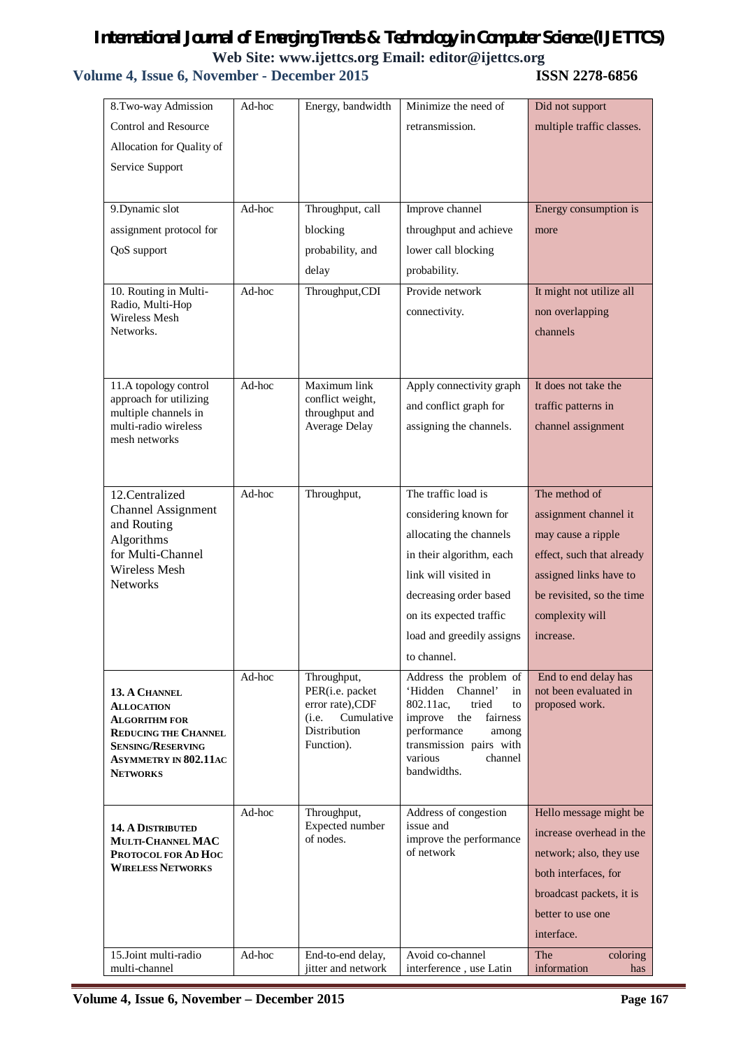| 8.Two-way Admission                                 | Ad-hoc | Energy, bandwidth                          | Minimize the need of                                | Did not support                               |
|-----------------------------------------------------|--------|--------------------------------------------|-----------------------------------------------------|-----------------------------------------------|
| Control and Resource                                |        |                                            | retransmission.                                     | multiple traffic classes.                     |
| Allocation for Quality of                           |        |                                            |                                                     |                                               |
| Service Support                                     |        |                                            |                                                     |                                               |
|                                                     |        |                                            |                                                     |                                               |
| 9. Dynamic slot                                     | Ad-hoc | Throughput, call                           | Improve channel                                     | Energy consumption is                         |
| assignment protocol for                             |        | blocking                                   | throughput and achieve                              | more                                          |
| QoS support                                         |        | probability, and                           | lower call blocking                                 |                                               |
|                                                     |        | delay                                      | probability.                                        |                                               |
| 10. Routing in Multi-                               | Ad-hoc | Throughput, CDI                            | Provide network                                     | It might not utilize all                      |
| Radio, Multi-Hop<br>Wireless Mesh                   |        |                                            | connectivity.                                       | non overlapping                               |
| Networks.                                           |        |                                            |                                                     | channels                                      |
|                                                     |        |                                            |                                                     |                                               |
| 11.A topology control                               | Ad-hoc | Maximum link                               | Apply connectivity graph                            | It does not take the                          |
| approach for utilizing                              |        | conflict weight,                           | and conflict graph for                              | traffic patterns in                           |
| multiple channels in<br>multi-radio wireless        |        | throughput and<br>Average Delay            | assigning the channels.                             | channel assignment                            |
| mesh networks                                       |        |                                            |                                                     |                                               |
|                                                     |        |                                            |                                                     |                                               |
|                                                     |        |                                            |                                                     |                                               |
| 12.Centralized<br><b>Channel Assignment</b>         | Ad-hoc | Throughput,                                | The traffic load is                                 | The method of                                 |
| and Routing                                         |        |                                            | considering known for                               | assignment channel it                         |
| Algorithms                                          |        |                                            | allocating the channels                             | may cause a ripple                            |
| for Multi-Channel<br>Wireless Mesh                  |        |                                            | in their algorithm, each                            | effect, such that already                     |
| <b>Networks</b>                                     |        |                                            | link will visited in                                | assigned links have to                        |
|                                                     |        |                                            | decreasing order based                              | be revisited, so the time                     |
|                                                     |        |                                            | on its expected traffic                             | complexity will                               |
|                                                     |        |                                            | load and greedily assigns                           | increase.                                     |
|                                                     |        |                                            | to channel.                                         |                                               |
| 13. A CHANNEL                                       | Ad-hoc | Throughput,<br>PER(i.e. packet             | Address the problem of<br>'Hidden<br>Channel'<br>in | End to end delay has<br>not been evaluated in |
| <b>ALLOCATION</b>                                   |        | error rate), CDF                           | 802.11ac,<br>tried<br>to                            | proposed work.                                |
| <b>ALGORITHM FOR</b><br><b>REDUCING THE CHANNEL</b> |        | Cumulative<br>(i.e.<br><b>Distribution</b> | improve<br>the<br>fairness<br>performance<br>among  |                                               |
| <b>SENSING/RESERVING</b>                            |        | Function).                                 | transmission pairs with                             |                                               |
| <b>ASYMMETRY IN 802.11AC</b><br><b>NETWORKS</b>     |        |                                            | channel<br>various<br>bandwidths.                   |                                               |
|                                                     |        |                                            |                                                     |                                               |
|                                                     | Ad-hoc | Throughput,                                | Address of congestion                               | Hello message might be                        |
| <b>14. A DISTRIBUTED</b>                            |        | Expected number<br>of nodes.               | issue and<br>improve the performance                | increase overhead in the                      |
| MULTI-CHANNEL MAC<br>PROTOCOL FOR AD HOC            |        |                                            | of network                                          | network; also, they use                       |
| <b>WIRELESS NETWORKS</b>                            |        |                                            |                                                     | both interfaces, for                          |
|                                                     |        |                                            |                                                     | broadcast packets, it is                      |
|                                                     |        |                                            |                                                     | better to use one                             |
|                                                     |        |                                            |                                                     | interface.                                    |
| 15.Joint multi-radio                                | Ad-hoc | End-to-end delay,                          | Avoid co-channel                                    | The<br>coloring                               |
| multi-channel                                       |        | jitter and network                         | interference, use Latin                             | information<br>has                            |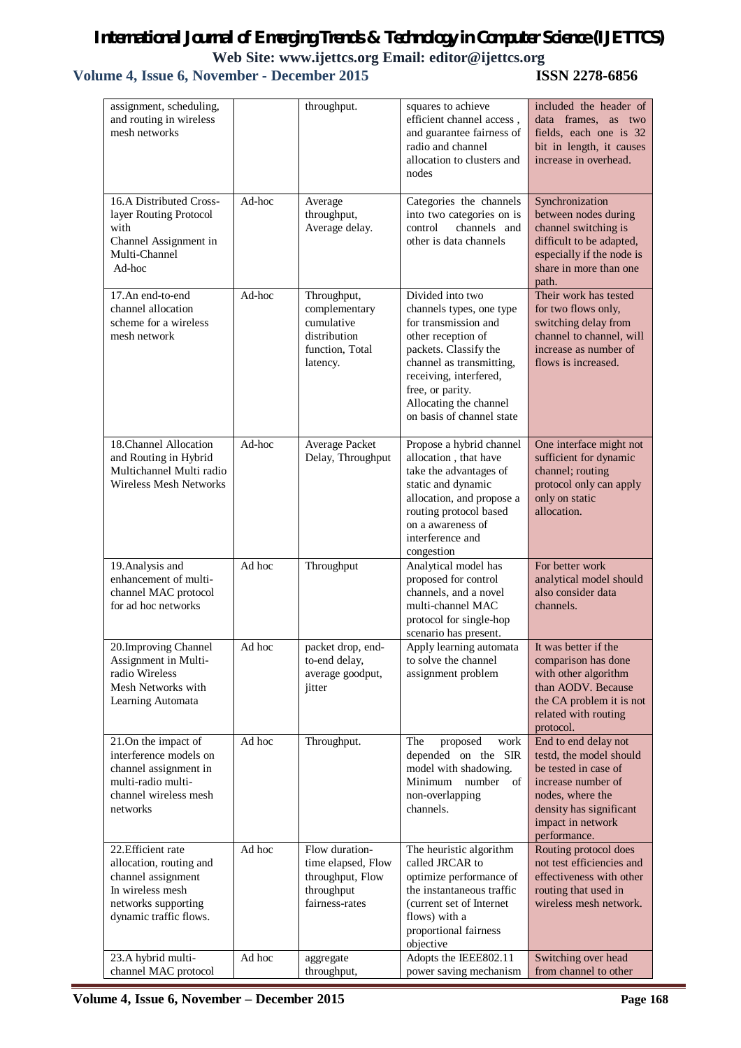# *International Journal of Emerging Trends & Technology in Computer Science (IJETTCS)* Web Site: www.ijettcs.org Email: editor@ijettcs.org<br>wember - December 2015 **ISSN 2278-6856**

| assignment, scheduling,<br>and routing in wireless<br>mesh networks                                                                      |        | throughput.                                                                               | squares to achieve<br>efficient channel access,<br>and guarantee fairness of<br>radio and channel<br>allocation to clusters and<br>nodes                                                                                                             | included the header of<br>data frames, as two<br>fields, each one is 32<br>bit in length, it causes<br>increase in overhead.                                                      |
|------------------------------------------------------------------------------------------------------------------------------------------|--------|-------------------------------------------------------------------------------------------|------------------------------------------------------------------------------------------------------------------------------------------------------------------------------------------------------------------------------------------------------|-----------------------------------------------------------------------------------------------------------------------------------------------------------------------------------|
| 16.A Distributed Cross-<br>layer Routing Protocol<br>with<br>Channel Assignment in<br>Multi-Channel<br>Ad-hoc                            | Ad-hoc | Average<br>throughput,<br>Average delay.                                                  | Categories the channels<br>into two categories on is<br>control<br>channels and<br>other is data channels                                                                                                                                            | Synchronization<br>between nodes during<br>channel switching is<br>difficult to be adapted,<br>especially if the node is<br>share in more than one<br>path.                       |
| 17.An end-to-end<br>channel allocation<br>scheme for a wireless<br>mesh network                                                          | Ad-hoc | Throughput,<br>complementary<br>cumulative<br>distribution<br>function, Total<br>latency. | Divided into two<br>channels types, one type<br>for transmission and<br>other reception of<br>packets. Classify the<br>channel as transmitting,<br>receiving, interfered,<br>free, or parity.<br>Allocating the channel<br>on basis of channel state | Their work has tested<br>for two flows only,<br>switching delay from<br>channel to channel, will<br>increase as number of<br>flows is increased.                                  |
| 18. Channel Allocation<br>and Routing in Hybrid<br>Multichannel Multi radio<br>Wireless Mesh Networks                                    | Ad-hoc | Average Packet<br>Delay, Throughput                                                       | Propose a hybrid channel<br>allocation, that have<br>take the advantages of<br>static and dynamic<br>allocation, and propose a<br>routing protocol based<br>on a awareness of<br>interference and<br>congestion                                      | One interface might not<br>sufficient for dynamic<br>channel; routing<br>protocol only can apply<br>only on static<br>allocation.                                                 |
| 19. Analysis and<br>enhancement of multi-<br>channel MAC protocol<br>for ad hoc networks                                                 | Ad hoc | Throughput                                                                                | Analytical model has<br>proposed for control<br>channels, and a novel<br>multi-channel MAC<br>protocol for single-hop<br>scenario has present.                                                                                                       | For better work<br>analytical model should<br>also consider data<br>channels.                                                                                                     |
| 20. Improving Channel<br>Assignment in Multi-<br>radio Wireless<br>Mesh Networks with<br>Learning Automata                               | Ad hoc | packet drop, end-<br>to-end delay,<br>average goodput,<br>jitter                          | Apply learning automata<br>to solve the channel<br>assignment problem                                                                                                                                                                                | It was better if the<br>comparison has done<br>with other algorithm<br>than AODV. Because<br>the CA problem it is not<br>related with routing<br>protocol.                        |
| 21.On the impact of<br>interference models on<br>channel assignment in<br>multi-radio multi-<br>channel wireless mesh<br>networks        | Ad hoc | Throughput.                                                                               | The<br>proposed<br>work<br>depended on the SIR<br>model with shadowing.<br>Minimum number<br>of<br>non-overlapping<br>channels.                                                                                                                      | End to end delay not<br>testd, the model should<br>be tested in case of<br>increase number of<br>nodes, where the<br>density has significant<br>impact in network<br>performance. |
| 22. Efficient rate<br>allocation, routing and<br>channel assignment<br>In wireless mesh<br>networks supporting<br>dynamic traffic flows. | Ad hoc | Flow duration-<br>time elapsed, Flow<br>throughput, Flow<br>throughput<br>fairness-rates  | The heuristic algorithm<br>called JRCAR to<br>optimize performance of<br>the instantaneous traffic<br>(current set of Internet)<br>flows) with a<br>proportional fairness<br>objective                                                               | Routing protocol does<br>not test efficiencies and<br>effectiveness with other<br>routing that used in<br>wireless mesh network.                                                  |
| 23.A hybrid multi-<br>channel MAC protocol                                                                                               | Ad hoc | aggregate<br>throughput,                                                                  | Adopts the IEEE802.11<br>power saving mechanism                                                                                                                                                                                                      | Switching over head<br>from channel to other                                                                                                                                      |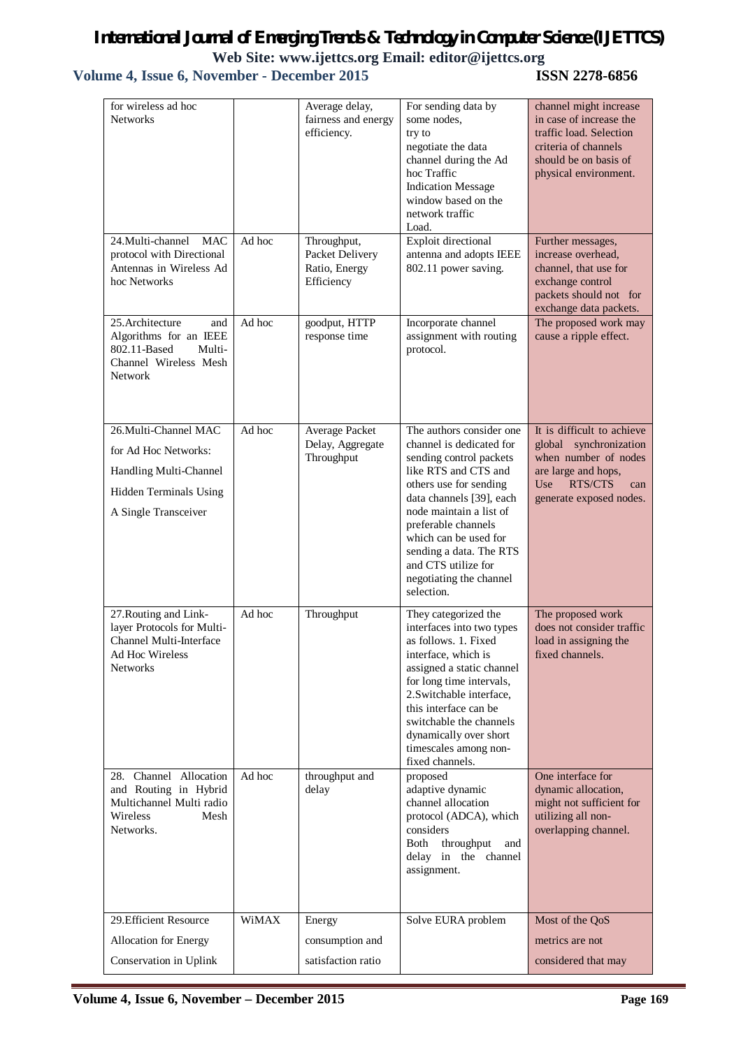| for wireless ad hoc<br><b>Networks</b>                                                                                           |        | Average delay,<br>fairness and energy<br>efficiency.          | For sending data by<br>some nodes,<br>try to<br>negotiate the data<br>channel during the Ad<br>hoc Traffic<br><b>Indication Message</b><br>window based on the<br>network traffic<br>Load.                                                                                                                                          | channel might increase<br>in case of increase the<br>traffic load. Selection<br>criteria of channels<br>should be on basis of<br>physical environment.                 |
|----------------------------------------------------------------------------------------------------------------------------------|--------|---------------------------------------------------------------|-------------------------------------------------------------------------------------------------------------------------------------------------------------------------------------------------------------------------------------------------------------------------------------------------------------------------------------|------------------------------------------------------------------------------------------------------------------------------------------------------------------------|
| 24. Multi-channel MAC<br>protocol with Directional<br>Antennas in Wireless Ad<br>hoc Networks                                    | Ad hoc | Throughput,<br>Packet Delivery<br>Ratio, Energy<br>Efficiency | Exploit directional<br>antenna and adopts IEEE<br>802.11 power saving.                                                                                                                                                                                                                                                              | Further messages,<br>increase overhead,<br>channel, that use for<br>exchange control<br>packets should not for<br>exchange data packets.                               |
| 25. Architecture<br>and<br>Algorithms for an IEEE<br>802.11-Based<br>Multi-<br>Channel Wireless Mesh<br><b>Network</b>           | Ad hoc | goodput, HTTP<br>response time                                | Incorporate channel<br>assignment with routing<br>protocol.                                                                                                                                                                                                                                                                         | The proposed work may<br>cause a ripple effect.                                                                                                                        |
| 26. Multi-Channel MAC<br>for Ad Hoc Networks:<br>Handling Multi-Channel<br><b>Hidden Terminals Using</b><br>A Single Transceiver | Ad hoc | Average Packet<br>Delay, Aggregate<br>Throughput              | The authors consider one<br>channel is dedicated for<br>sending control packets<br>like RTS and CTS and<br>others use for sending<br>data channels [39], each<br>node maintain a list of<br>preferable channels<br>which can be used for<br>sending a data. The RTS<br>and CTS utilize for<br>negotiating the channel<br>selection. | It is difficult to achieve<br>global<br>synchronization<br>when number of nodes<br>are large and hops,<br>U <sub>se</sub><br>RTS/CTS<br>can<br>generate exposed nodes. |
| 27. Routing and Link-<br>layer Protocols for Multi-<br>Channel Multi-Interface<br>Ad Hoc Wireless<br><b>Networks</b>             | Ad hoc | Throughput                                                    | They categorized the<br>interfaces into two types<br>as follows. 1. Fixed<br>interface, which is<br>assigned a static channel<br>for long time intervals,<br>2. Switchable interface,<br>this interface can be<br>switchable the channels<br>dynamically over short<br>timescales among non-<br>fixed channels.                     | The proposed work<br>does not consider traffic<br>load in assigning the<br>fixed channels.                                                                             |
| 28. Channel Allocation<br>and Routing in Hybrid<br>Multichannel Multi radio<br><b>Wireless</b><br>Mesh<br>Networks.              | Ad hoc | throughput and<br>delay                                       | proposed<br>adaptive dynamic<br>channel allocation<br>protocol (ADCA), which<br>considers<br>throughput<br>Both<br>and<br>delay in the channel<br>assignment.                                                                                                                                                                       | One interface for<br>dynamic allocation,<br>might not sufficient for<br>utilizing all non-<br>overlapping channel.                                                     |
| 29. Efficient Resource<br>Allocation for Energy<br>Conservation in Uplink                                                        | WiMAX  | Energy<br>consumption and<br>satisfaction ratio               | Solve EURA problem                                                                                                                                                                                                                                                                                                                  | Most of the QoS<br>metrics are not<br>considered that may                                                                                                              |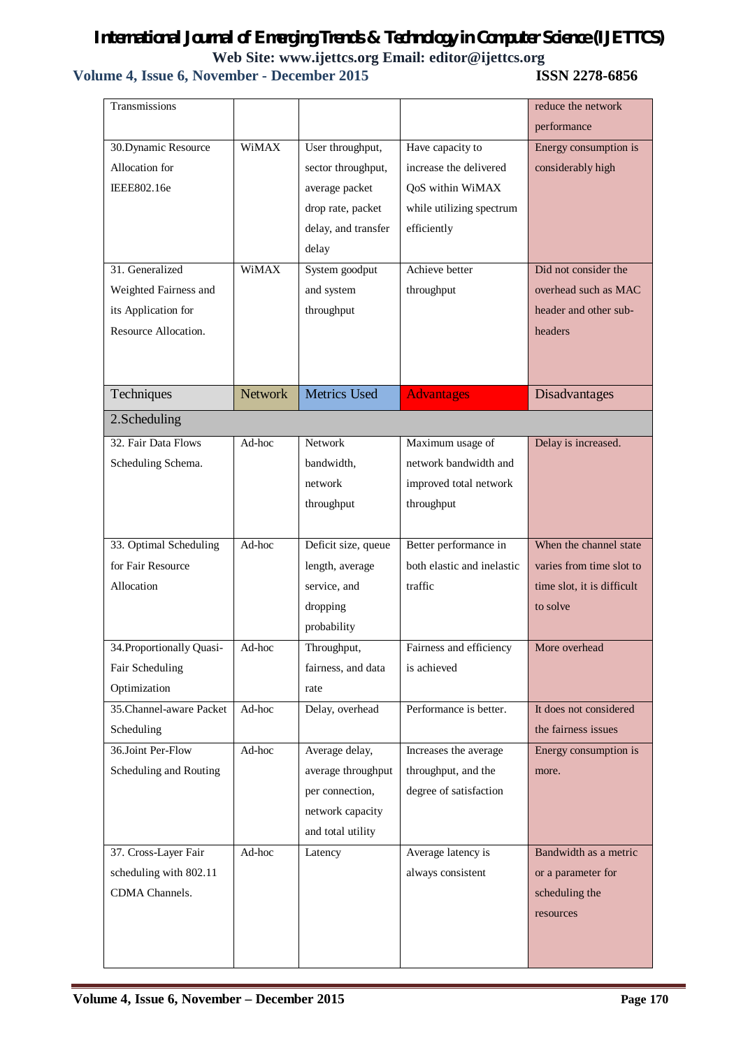# *International Journal of Emerging Trends & Technology in Computer Science (IJETTCS)* Web Site: www.ijettcs.org Email: editor@ijettcs.org<br> **Web Site: www.ijettcs.org Email: editor@ijettcs.org**<br> **ISSN 2278-6856**

| Energy consumption is      |
|----------------------------|
|                            |
|                            |
|                            |
|                            |
|                            |
|                            |
|                            |
| Did not consider the       |
| overhead such as MAC       |
| header and other sub-      |
|                            |
|                            |
|                            |
|                            |
|                            |
|                            |
| Delay is increased.        |
|                            |
|                            |
|                            |
|                            |
| When the channel state     |
| varies from time slot to   |
| time slot, it is difficult |
|                            |
|                            |
|                            |
|                            |
|                            |
|                            |
| It does not considered     |
| the fairness issues        |
| Energy consumption is      |
|                            |
|                            |
|                            |
|                            |
| Bandwidth as a metric      |
| or a parameter for         |
|                            |
|                            |
|                            |
| Disadvantages              |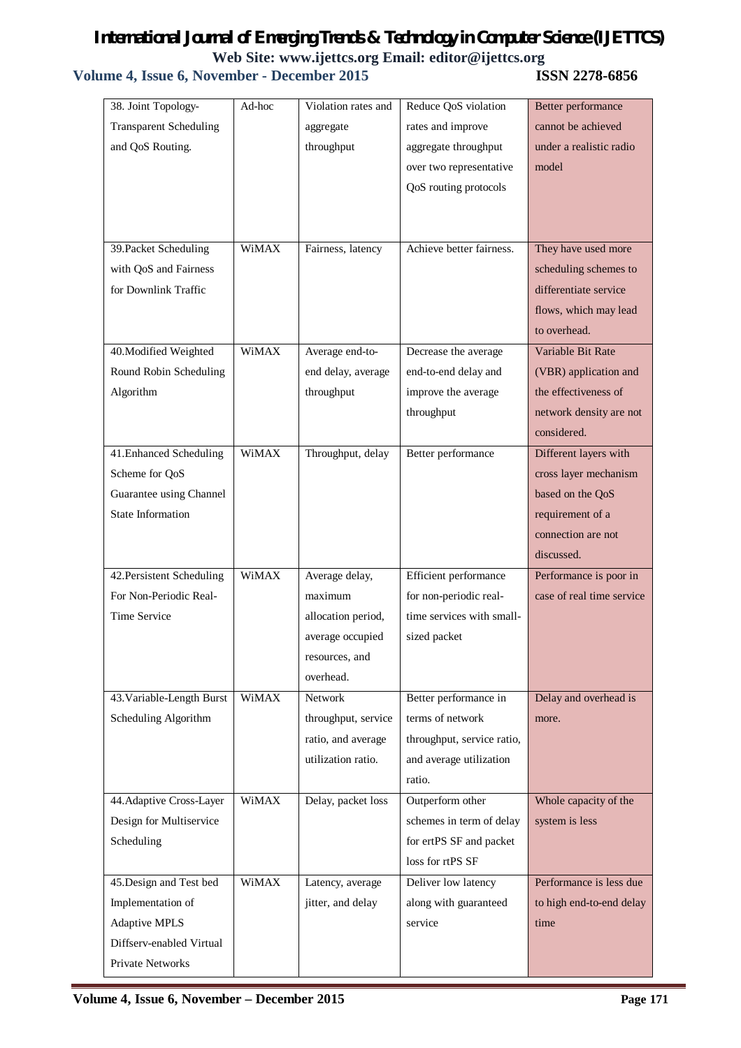| 38. Joint Topology-           | Ad-hoc       | Violation rates and | Reduce QoS violation       | Better performance        |
|-------------------------------|--------------|---------------------|----------------------------|---------------------------|
| <b>Transparent Scheduling</b> |              | aggregate           | rates and improve          | cannot be achieved        |
| and QoS Routing.              |              | throughput          | aggregate throughput       | under a realistic radio   |
|                               |              |                     | over two representative    | model                     |
|                               |              |                     | QoS routing protocols      |                           |
|                               |              |                     |                            |                           |
|                               |              |                     |                            |                           |
| 39. Packet Scheduling         | WiMAX        | Fairness, latency   | Achieve better fairness.   | They have used more       |
| with QoS and Fairness         |              |                     |                            | scheduling schemes to     |
| for Downlink Traffic          |              |                     |                            | differentiate service     |
|                               |              |                     |                            | flows, which may lead     |
|                               |              |                     |                            | to overhead.              |
| 40. Modified Weighted         | WiMAX        | Average end-to-     | Decrease the average       | Variable Bit Rate         |
| Round Robin Scheduling        |              | end delay, average  | end-to-end delay and       | (VBR) application and     |
| Algorithm                     |              | throughput          | improve the average        | the effectiveness of      |
|                               |              |                     | throughput                 | network density are not   |
|                               |              |                     |                            | considered.               |
| 41. Enhanced Scheduling       | WiMAX        | Throughput, delay   | Better performance         | Different layers with     |
| Scheme for QoS                |              |                     |                            | cross layer mechanism     |
| Guarantee using Channel       |              |                     |                            | based on the QoS          |
| State Information             |              |                     |                            | requirement of a          |
|                               |              |                     |                            | connection are not        |
|                               |              |                     |                            | discussed.                |
| 42. Persistent Scheduling     | WiMAX        | Average delay,      | Efficient performance      | Performance is poor in    |
| For Non-Periodic Real-        |              | maximum             | for non-periodic real-     | case of real time service |
| Time Service                  |              | allocation period,  | time services with small-  |                           |
|                               |              | average occupied    | sized packet               |                           |
|                               |              | resources, and      |                            |                           |
|                               |              | overhead.           |                            |                           |
| 43. Variable-Length Burst     | <b>WiMAX</b> | Network             | Better performance in      | Delay and overhead is     |
| Scheduling Algorithm          |              | throughput, service | terms of network           | more.                     |
|                               |              | ratio, and average  | throughput, service ratio, |                           |
|                               |              | utilization ratio.  | and average utilization    |                           |
|                               |              |                     | ratio.                     |                           |
| 44. Adaptive Cross-Layer      | WiMAX        | Delay, packet loss  | Outperform other           | Whole capacity of the     |
| Design for Multiservice       |              |                     | schemes in term of delay   | system is less            |
| Scheduling                    |              |                     | for ertPS SF and packet    |                           |
|                               |              |                     | loss for rtPS SF           |                           |
| 45. Design and Test bed       | WiMAX        | Latency, average    | Deliver low latency        | Performance is less due   |
| Implementation of             |              | jitter, and delay   | along with guaranteed      | to high end-to-end delay  |
|                               |              |                     |                            |                           |
| <b>Adaptive MPLS</b>          |              |                     | service                    | time                      |
| Diffserv-enabled Virtual      |              |                     |                            |                           |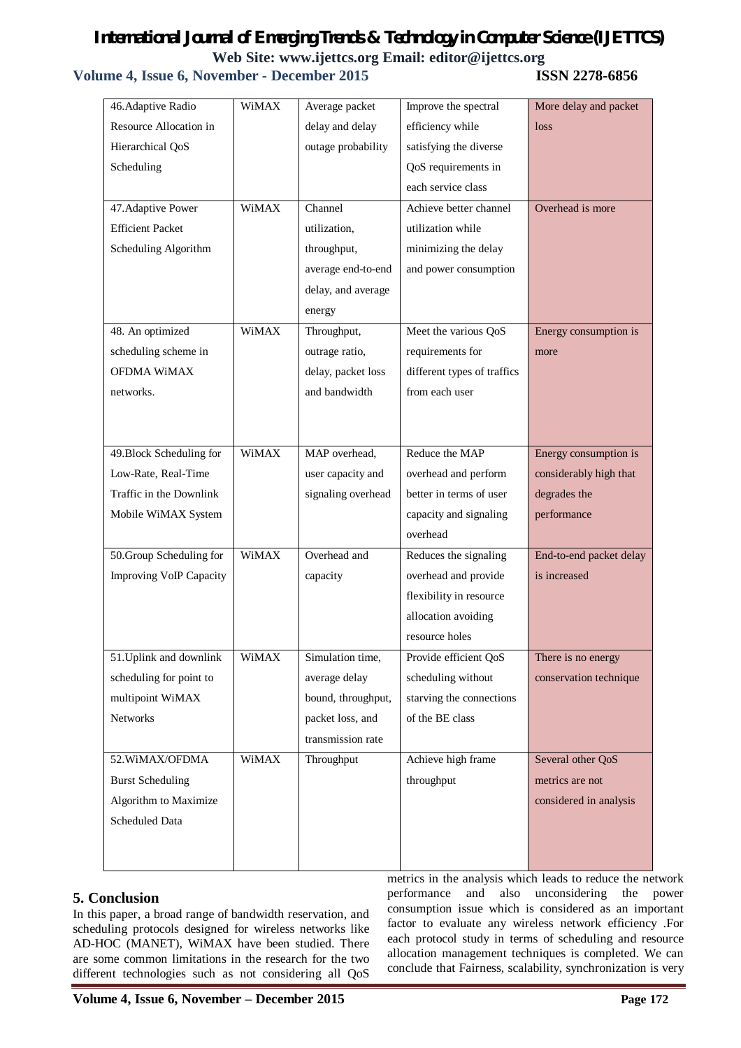### **Volume 4, Issue 6, November - December 2015 ISSN 2278-6856**

| 46. Adaptive Radio             | WiMAX        | Average packet     | Improve the spectral        | More delay and packet   |
|--------------------------------|--------------|--------------------|-----------------------------|-------------------------|
| Resource Allocation in         |              | delay and delay    | efficiency while            | loss                    |
| Hierarchical QoS               |              | outage probability | satisfying the diverse      |                         |
| Scheduling                     |              |                    | QoS requirements in         |                         |
|                                |              |                    | each service class          |                         |
| 47. Adaptive Power             | <b>WiMAX</b> | Channel            | Achieve better channel      | Overhead is more        |
| <b>Efficient Packet</b>        |              | utilization,       | utilization while           |                         |
| Scheduling Algorithm           |              | throughput,        | minimizing the delay        |                         |
|                                |              | average end-to-end | and power consumption       |                         |
|                                |              | delay, and average |                             |                         |
|                                |              | energy             |                             |                         |
| 48. An optimized               | <b>WiMAX</b> | Throughput,        | Meet the various QoS        | Energy consumption is   |
| scheduling scheme in           |              | outrage ratio,     | requirements for            | more                    |
| OFDMA WiMAX                    |              | delay, packet loss | different types of traffics |                         |
| networks.                      |              | and bandwidth      | from each user              |                         |
|                                |              |                    |                             |                         |
|                                |              |                    |                             |                         |
| 49. Block Scheduling for       | <b>WiMAX</b> | MAP overhead,      | Reduce the MAP              | Energy consumption is   |
| Low-Rate, Real-Time            |              | user capacity and  | overhead and perform        | considerably high that  |
| Traffic in the Downlink        |              | signaling overhead | better in terms of user     | degrades the            |
| Mobile WiMAX System            |              |                    | capacity and signaling      | performance             |
|                                |              |                    | overhead                    |                         |
| 50. Group Scheduling for       | <b>WiMAX</b> | Overhead and       | Reduces the signaling       | End-to-end packet delay |
| <b>Improving VoIP Capacity</b> |              | capacity           | overhead and provide        | is increased            |
|                                |              |                    | flexibility in resource     |                         |
|                                |              |                    | allocation avoiding         |                         |
|                                |              |                    | resource holes              |                         |
| 51. Uplink and downlink        | WiMAX        | Simulation time,   | Provide efficient QoS       | There is no energy      |
| scheduling for point to        |              | average delay      | scheduling without          | conservation technique  |
| multipoint WiMAX               |              | bound, throughput, | starving the connections    |                         |
| Networks                       |              | packet loss, and   | of the BE class             |                         |
|                                |              | transmission rate  |                             |                         |
| 52. WiMAX/OFDMA                | <b>WiMAX</b> | Throughput         | Achieve high frame          | Several other QoS       |
| <b>Burst Scheduling</b>        |              |                    | throughput                  | metrics are not         |
| Algorithm to Maximize          |              |                    |                             | considered in analysis  |
| Scheduled Data                 |              |                    |                             |                         |
|                                |              |                    |                             |                         |
|                                |              |                    |                             |                         |

### **5. Conclusion**

In this paper, a broad range of bandwidth reservation, and scheduling protocols designed for wireless networks like AD-HOC (MANET), WiMAX have been studied. There are some common limitations in the research for the two different technologies such as not considering all QoS metrics in the analysis which leads to reduce the network performance and also unconsidering the power consumption issue which is considered as an important factor to evaluate any wireless network efficiency .For each protocol study in terms of scheduling and resource allocation management techniques is completed. We can conclude that Fairness, scalability, synchronization is very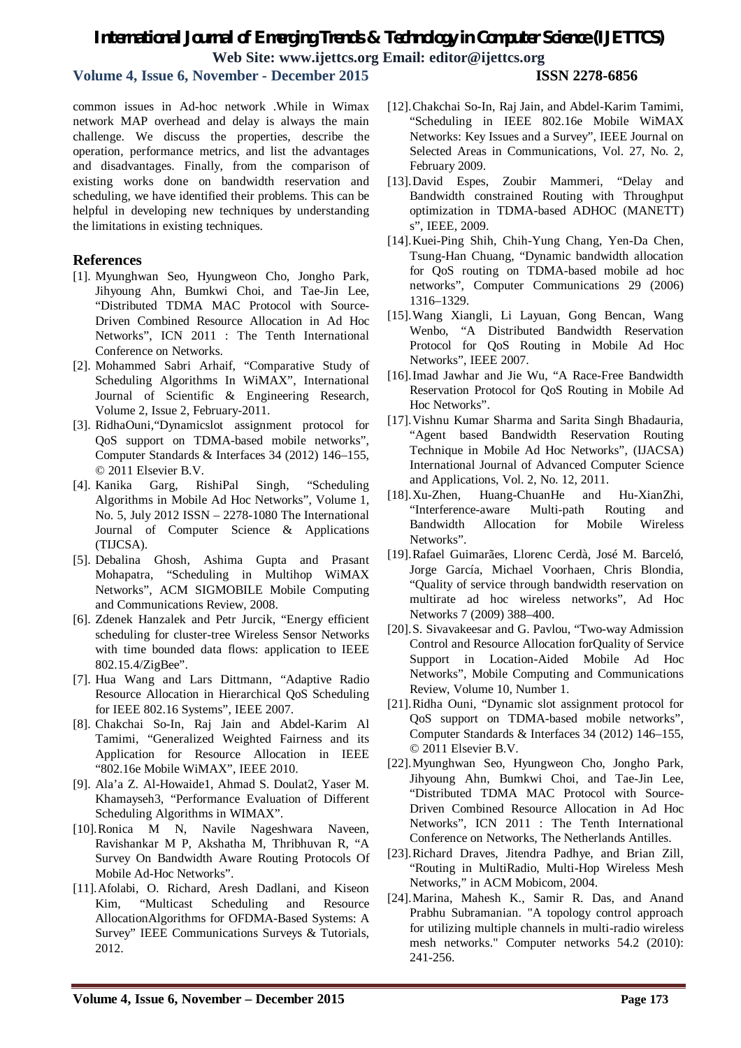### **Volume 4, Issue 6, November - December 2015 ISSN 2278-6856**

common issues in Ad-hoc network .While in Wimax network MAP overhead and delay is always the main challenge. We discuss the properties, describe the operation, performance metrics, and list the advantages and disadvantages. Finally, from the comparison of existing works done on bandwidth reservation and scheduling, we have identified their problems. This can be helpful in developing new techniques by understanding the limitations in existing techniques.

### **References**

- [1]. Myunghwan Seo, Hyungweon Cho, Jongho Park, Jihyoung Ahn, Bumkwi Choi, and Tae-Jin Lee, "Distributed TDMA MAC Protocol with Source-Driven Combined Resource Allocation in Ad Hoc Networks", ICN 2011 : The Tenth International Conference on Networks.
- [2]. Mohammed Sabri Arhaif, "Comparative Study of Scheduling Algorithms In WiMAX", International Journal of Scientific & Engineering Research, Volume 2, Issue 2, February-2011.
- [3]. RidhaOuni,"Dynamicslot assignment protocol for QoS support on TDMA-based mobile networks", Computer Standards & Interfaces 34 (2012) 146–155, © 2011 Elsevier B.V.
- [4]. Kanika Garg, RishiPal Singh, "Scheduling Algorithms in Mobile Ad Hoc Networks", Volume 1, No. 5, July 2012 ISSN – 2278-1080 The International Journal of Computer Science & Applications (TIJCSA).
- [5]. Debalina Ghosh, Ashima Gupta and Prasant Mohapatra, "Scheduling in Multihop WiMAX Networks", ACM SIGMOBILE Mobile Computing and Communications Review, 2008.
- [6]. Zdenek Hanzalek and Petr Jurcik, "Energy efficient scheduling for cluster-tree Wireless Sensor Networks with time bounded data flows: application to IEEE 802.15.4/ZigBee".
- [7]. Hua Wang and Lars Dittmann, "Adaptive Radio Resource Allocation in Hierarchical QoS Scheduling for IEEE 802.16 Systems", IEEE 2007.
- [8]. Chakchai So-In, Raj Jain and Abdel-Karim Al Tamimi, "Generalized Weighted Fairness and its Application for Resource Allocation in IEEE "802.16e Mobile WiMAX", IEEE 2010.
- [9]. Ala'a Z. Al-Howaide1, Ahmad S. Doulat2, Yaser M. Khamayseh3, "Performance Evaluation of Different Scheduling Algorithms in WIMAX".
- [10].Ronica M N, Navile Nageshwara Naveen, Ravishankar M P, Akshatha M, Thribhuvan R, "A Survey On Bandwidth Aware Routing Protocols Of Mobile Ad-Hoc Networks".
- [11].Afolabi, O. Richard, Aresh Dadlani, and Kiseon Kim, "Multicast Scheduling and Resource AllocationAlgorithms for OFDMA-Based Systems: A Survey" IEEE Communications Surveys & Tutorials, 2012.
- [12].Chakchai So-In, Raj Jain, and Abdel-Karim Tamimi, "Scheduling in IEEE 802.16e Mobile WiMAX Networks: Key Issues and a Survey", IEEE Journal on Selected Areas in Communications, Vol. 27, No. 2, February 2009.
- [13].David Espes, Zoubir Mammeri, "Delay and Bandwidth constrained Routing with Throughput optimization in TDMA-based ADHOC (MANETT) s", IEEE, 2009.
- [14].Kuei-Ping Shih, Chih-Yung Chang, Yen-Da Chen, Tsung-Han Chuang, "Dynamic bandwidth allocation for QoS routing on TDMA-based mobile ad hoc networks", Computer Communications 29 (2006) 1316–1329.
- [15].Wang Xiangli, Li Layuan, Gong Bencan, Wang Wenbo, "A Distributed Bandwidth Reservation Protocol for QoS Routing in Mobile Ad Hoc Networks", IEEE 2007.
- [16].Imad Jawhar and Jie Wu, "A Race-Free Bandwidth Reservation Protocol for QoS Routing in Mobile Ad Hoc Networks".
- [17].Vishnu Kumar Sharma and Sarita Singh Bhadauria, "Agent based Bandwidth Reservation Routing Technique in Mobile Ad Hoc Networks", (IJACSA) International Journal of Advanced Computer Science and Applications, Vol. 2, No. 12, 2011.
- [18].Xu-Zhen, Huang-ChuanHe and Hu-XianZhi, "Interference-aware Multi-path Routing and Bandwidth Allocation for Mobile Wireless Networks".
- [19].Rafael Guimarães, Llorenc Cerdà, José M. Barceló, Jorge García, Michael Voorhaen, Chris Blondia, "Quality of service through bandwidth reservation on multirate ad hoc wireless networks", Ad Hoc Networks 7 (2009) 388–400.
- [20].S. Sivavakeesar and G. Pavlou, "Two-way Admission Control and Resource Allocation forQuality of Service Support in Location-Aided Mobile Ad Hoc Networks", Mobile Computing and Communications Review, Volume 10, Number 1.
- [21].Ridha Ouni, "Dynamic slot assignment protocol for QoS support on TDMA-based mobile networks", Computer Standards & Interfaces 34 (2012) 146–155, © 2011 Elsevier B.V.
- [22].Myunghwan Seo, Hyungweon Cho, Jongho Park, Jihyoung Ahn, Bumkwi Choi, and Tae-Jin Lee, "Distributed TDMA MAC Protocol with Source-Driven Combined Resource Allocation in Ad Hoc Networks", ICN 2011 : The Tenth International Conference on Networks, The Netherlands Antilles.
- [23].Richard Draves, Jitendra Padhye, and Brian Zill, "Routing in MultiRadio, Multi-Hop Wireless Mesh Networks," in ACM Mobicom, 2004.
- [24].Marina, Mahesh K., Samir R. Das, and Anand Prabhu Subramanian. "A topology control approach for utilizing multiple channels in multi-radio wireless mesh networks." Computer networks 54.2 (2010): 241-256.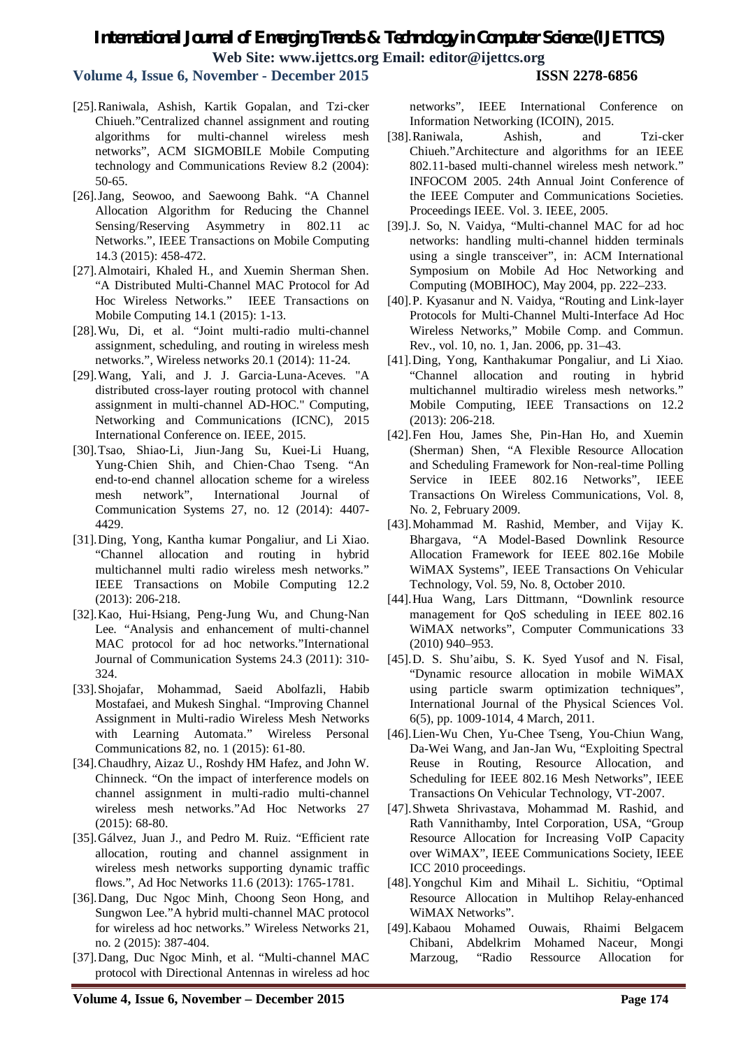**Volume 4, Issue 6, November - December 2015 ISSN 2278-6856**

- [25].Raniwala, Ashish, Kartik Gopalan, and Tzi-cker Chiueh."Centralized channel assignment and routing algorithms for multi-channel wireless mesh networks", ACM SIGMOBILE Mobile Computing technology and Communications Review 8.2 (2004): 50-65.
- [26].Jang, Seowoo, and Saewoong Bahk. "A Channel Allocation Algorithm for Reducing the Channel Sensing/Reserving Asymmetry in 802.11 ac Networks.", IEEE Transactions on Mobile Computing 14.3 (2015): 458-472.
- [27].Almotairi, Khaled H., and Xuemin Sherman Shen. "A Distributed Multi-Channel MAC Protocol for Ad Hoc Wireless Networks." IEEE Transactions on Mobile Computing 14.1 (2015): 1-13.
- [28].Wu, Di, et al. "Joint multi-radio multi-channel assignment, scheduling, and routing in wireless mesh networks.", Wireless networks 20.1 (2014): 11-24.
- [29].Wang, Yali, and J. J. Garcia-Luna-Aceves. "A distributed cross-layer routing protocol with channel assignment in multi-channel AD-HOC." Computing, Networking and Communications (ICNC), 2015 International Conference on. IEEE, 2015.
- [30].Tsao, Shiao‐Li, Jiun‐Jang Su, Kuei‐Li Huang, Yung‐Chien Shih, and Chien‐Chao Tseng. "An end‐to‐end channel allocation scheme for a wireless mesh network", International Journal of Communication Systems 27, no. 12 (2014): 4407- 4429.
- [31].Ding, Yong, Kantha kumar Pongaliur, and Li Xiao. "Channel allocation and routing in hybrid multichannel multi radio wireless mesh networks." IEEE Transactions on Mobile Computing 12.2 (2013): 206-218.
- [32].Kao, Hui‐Hsiang, Peng‐Jung Wu, and Chung‐Nan Lee. "Analysis and enhancement of multi-channel MAC protocol for ad hoc networks."International Journal of Communication Systems 24.3 (2011): 310- 324.
- [33].Shojafar, Mohammad, Saeid Abolfazli, Habib Mostafaei, and Mukesh Singhal. "Improving Channel Assignment in Multi-radio Wireless Mesh Networks with Learning Automata." Wireless Personal Communications 82, no. 1 (2015): 61-80.
- [34].Chaudhry, Aizaz U., Roshdy HM Hafez, and John W. Chinneck. "On the impact of interference models on channel assignment in multi-radio multi-channel wireless mesh networks."Ad Hoc Networks 27 (2015): 68-80.
- [35].Gálvez, Juan J., and Pedro M. Ruiz. "Efficient rate allocation, routing and channel assignment in wireless mesh networks supporting dynamic traffic flows.", Ad Hoc Networks 11.6 (2013): 1765-1781.
- [36].Dang, Duc Ngoc Minh, Choong Seon Hong, and Sungwon Lee."A hybrid multi-channel MAC protocol for wireless ad hoc networks." Wireless Networks 21, no. 2 (2015): 387-404.
- [37].Dang, Duc Ngoc Minh, et al. "Multi-channel MAC protocol with Directional Antennas in wireless ad hoc

networks", IEEE International Conference on Information Networking (ICOIN), 2015.

- [38].Raniwala, Ashish, and Tzi-cker Chiueh."Architecture and algorithms for an IEEE 802.11-based multi-channel wireless mesh network." INFOCOM 2005. 24th Annual Joint Conference of the IEEE Computer and Communications Societies. Proceedings IEEE. Vol. 3. IEEE, 2005.
- [39].J. So, N. Vaidya, "Multi-channel MAC for ad hoc networks: handling multi-channel hidden terminals using a single transceiver", in: ACM International Symposium on Mobile Ad Hoc Networking and Computing (MOBIHOC), May 2004, pp. 222–233.
- [40].P. Kyasanur and N. Vaidya, "Routing and Link-layer Protocols for Multi-Channel Multi-Interface Ad Hoc Wireless Networks," Mobile Comp. and Commun. Rev., vol. 10, no. 1, Jan. 2006, pp. 31–43.
- [41].Ding, Yong, Kanthakumar Pongaliur, and Li Xiao. "Channel allocation and routing in hybrid multichannel multiradio wireless mesh networks." Mobile Computing, IEEE Transactions on 12.2 (2013): 206-218.
- [42].Fen Hou, James She, Pin-Han Ho, and Xuemin (Sherman) Shen, "A Flexible Resource Allocation and Scheduling Framework for Non-real-time Polling Service in IEEE 802.16 Networks", IEEE Transactions On Wireless Communications, Vol. 8, No. 2, February 2009.
- [43].Mohammad M. Rashid, Member, and Vijay K. Bhargava, "A Model-Based Downlink Resource Allocation Framework for IEEE 802.16e Mobile WiMAX Systems", IEEE Transactions On Vehicular Technology, Vol. 59, No. 8, October 2010.
- [44].Hua Wang, Lars Dittmann, "Downlink resource management for QoS scheduling in IEEE 802.16 WiMAX networks", Computer Communications 33 (2010) 940–953.
- [45].D. S. Shu'aibu, S. K. Syed Yusof and N. Fisal, "Dynamic resource allocation in mobile WiMAX using particle swarm optimization techniques", International Journal of the Physical Sciences Vol. 6(5), pp. 1009-1014, 4 March, 2011.
- [46].Lien-Wu Chen, Yu-Chee Tseng, You-Chiun Wang, Da-Wei Wang, and Jan-Jan Wu, "Exploiting Spectral Reuse in Routing, Resource Allocation, and Scheduling for IEEE 802.16 Mesh Networks", IEEE Transactions On Vehicular Technology, VT-2007.
- [47].Shweta Shrivastava, Mohammad M. Rashid, and Rath Vannithamby, Intel Corporation, USA, "Group Resource Allocation for Increasing VoIP Capacity over WiMAX", IEEE Communications Society, IEEE ICC 2010 proceedings.
- [48].Yongchul Kim and Mihail L. Sichitiu, "Optimal Resource Allocation in Multihop Relay-enhanced WiMAX Networks".
- [49].Kabaou Mohamed Ouwais, Rhaimi Belgacem Chibani, Abdelkrim Mohamed Naceur, Mongi Marzoug, "Radio Ressource Allocation for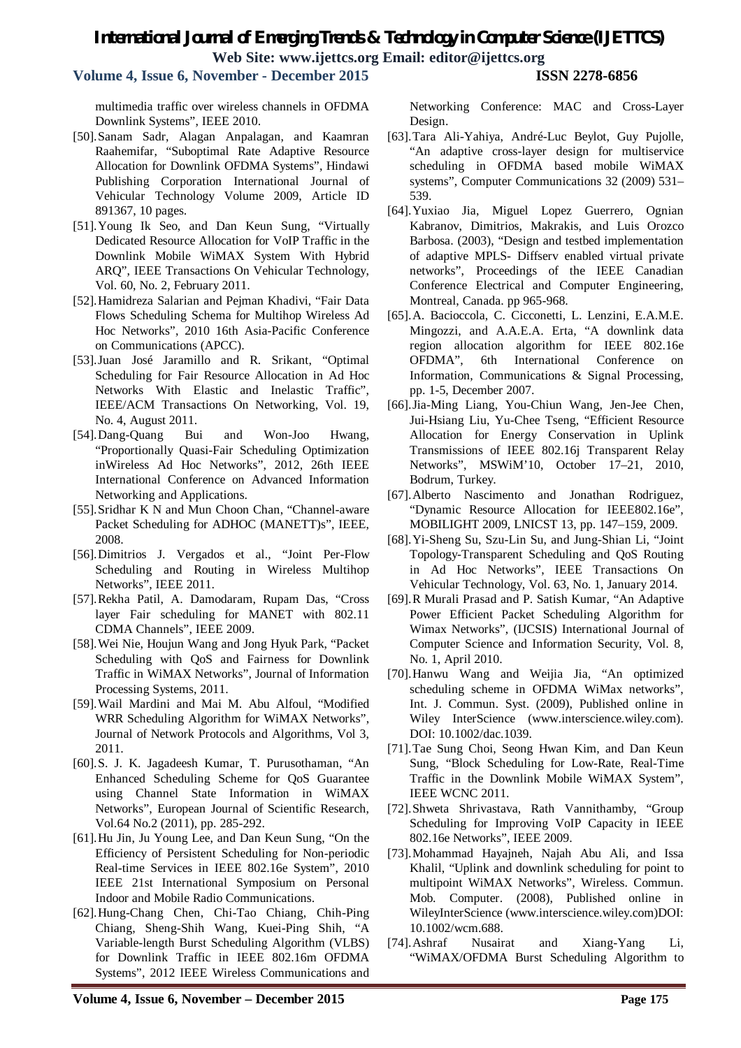**Volume 4, Issue 6, November - December 2015 ISSN 2278-6856**

multimedia traffic over wireless channels in OFDMA Downlink Systems", IEEE 2010.

- [50].Sanam Sadr, Alagan Anpalagan, and Kaamran Raahemifar, "Suboptimal Rate Adaptive Resource Allocation for Downlink OFDMA Systems", Hindawi Publishing Corporation International Journal of Vehicular Technology Volume 2009, Article ID 891367, 10 pages.
- [51].Young Ik Seo, and Dan Keun Sung, "Virtually Dedicated Resource Allocation for VoIP Traffic in the Downlink Mobile WiMAX System With Hybrid ARQ", IEEE Transactions On Vehicular Technology, Vol. 60, No. 2, February 2011.
- [52].Hamidreza Salarian and Pejman Khadivi, "Fair Data Flows Scheduling Schema for Multihop Wireless Ad Hoc Networks", 2010 16th Asia-Pacific Conference on Communications (APCC).
- [53].Juan José Jaramillo and R. Srikant, "Optimal Scheduling for Fair Resource Allocation in Ad Hoc Networks With Elastic and Inelastic Traffic", IEEE/ACM Transactions On Networking, Vol. 19, No. 4, August 2011.
- [54].Dang-Quang Bui and Won-Joo Hwang, "Proportionally Quasi-Fair Scheduling Optimization inWireless Ad Hoc Networks", 2012, 26th IEEE International Conference on Advanced Information Networking and Applications.
- [55].Sridhar K N and Mun Choon Chan, "Channel-aware Packet Scheduling for ADHOC (MANETT)s", IEEE, 2008.
- [56].Dimitrios J. Vergados et al., "Joint Per-Flow Scheduling and Routing in Wireless Multihop Networks", IEEE 2011.
- [57].Rekha Patil, A. Damodaram, Rupam Das, "Cross layer Fair scheduling for MANET with 802.11 CDMA Channels", IEEE 2009.
- [58].Wei Nie, Houjun Wang and Jong Hyuk Park, "Packet Scheduling with QoS and Fairness for Downlink Traffic in WiMAX Networks", Journal of Information Processing Systems, 2011.
- [59].Wail Mardini and Mai M. Abu Alfoul, "Modified WRR Scheduling Algorithm for WiMAX Networks", Journal of Network Protocols and Algorithms, Vol 3, 2011.
- [60].S. J. K. Jagadeesh Kumar, T. Purusothaman, "An Enhanced Scheduling Scheme for QoS Guarantee using Channel State Information in WiMAX Networks", European Journal of Scientific Research, Vol.64 No.2 (2011), pp. 285-292.
- [61].Hu Jin, Ju Young Lee, and Dan Keun Sung, "On the Efficiency of Persistent Scheduling for Non-periodic Real-time Services in IEEE 802.16e System", 2010 IEEE 21st International Symposium on Personal Indoor and Mobile Radio Communications.
- [62].Hung-Chang Chen, Chi-Tao Chiang, Chih-Ping Chiang, Sheng-Shih Wang, Kuei-Ping Shih, "A Variable-length Burst Scheduling Algorithm (VLBS) for Downlink Traffic in IEEE 802.16m OFDMA Systems", 2012 IEEE Wireless Communications and

Networking Conference: MAC and Cross-Layer Design.

- [63].Tara Ali-Yahiya, André-Luc Beylot, Guy Pujolle, "An adaptive cross-layer design for multiservice scheduling in OFDMA based mobile WiMAX systems", Computer Communications 32 (2009) 531– 539.
- [64].Yuxiao Jia, Miguel Lopez Guerrero, Ognian Kabranov, Dimitrios, Makrakis, and Luis Orozco Barbosa. (2003), "Design and testbed implementation of adaptive MPLS- Diffserv enabled virtual private networks", Proceedings of the IEEE Canadian Conference Electrical and Computer Engineering, Montreal, Canada. pp 965-968.
- [65].A. Bacioccola, C. Cicconetti, L. Lenzini, E.A.M.E. Mingozzi, and A.A.E.A. Erta, "A downlink data region allocation algorithm for IEEE 802.16e OFDMA", 6th International Conference on Information, Communications & Signal Processing, pp. 1-5, December 2007.
- [66].Jia-Ming Liang, You-Chiun Wang, Jen-Jee Chen, Jui-Hsiang Liu, Yu-Chee Tseng, "Efficient Resource Allocation for Energy Conservation in Uplink Transmissions of IEEE 802.16j Transparent Relay Networks", MSWiM'10, October 17–21, 2010, Bodrum, Turkey.
- [67].Alberto Nascimento and Jonathan Rodriguez, "Dynamic Resource Allocation for IEEE802.16e", MOBILIGHT 2009, LNICST 13, pp. 147–159, 2009.
- [68].Yi-Sheng Su, Szu-Lin Su, and Jung-Shian Li, "Joint Topology-Transparent Scheduling and QoS Routing in Ad Hoc Networks", IEEE Transactions On Vehicular Technology, Vol. 63, No. 1, January 2014.
- [69].R Murali Prasad and P. Satish Kumar, "An Adaptive Power Efficient Packet Scheduling Algorithm for Wimax Networks", (IJCSIS) International Journal of Computer Science and Information Security, Vol. 8, No. 1, April 2010.
- [70].Hanwu Wang and Weijia Jia, "An optimized scheduling scheme in OFDMA WiMax networks", Int. J. Commun. Syst. (2009), Published online in Wiley InterScience (www.interscience.wiley.com). DOI: 10.1002/dac.1039.
- [71].Tae Sung Choi, Seong Hwan Kim, and Dan Keun Sung, "Block Scheduling for Low-Rate, Real-Time Traffic in the Downlink Mobile WiMAX System", IEEE WCNC 2011.
- [72].Shweta Shrivastava, Rath Vannithamby, "Group Scheduling for Improving VoIP Capacity in IEEE 802.16e Networks", IEEE 2009.
- [73].Mohammad Hayajneh, Najah Abu Ali, and Issa Khalil, "Uplink and downlink scheduling for point to multipoint WiMAX Networks", Wireless. Commun. Mob. Computer. (2008), Published online in WileyInterScience (www.interscience.wiley.com)DOI: 10.1002/wcm.688.
- [74].Ashraf Nusairat and Xiang-Yang Li, "WiMAX/OFDMA Burst Scheduling Algorithm to